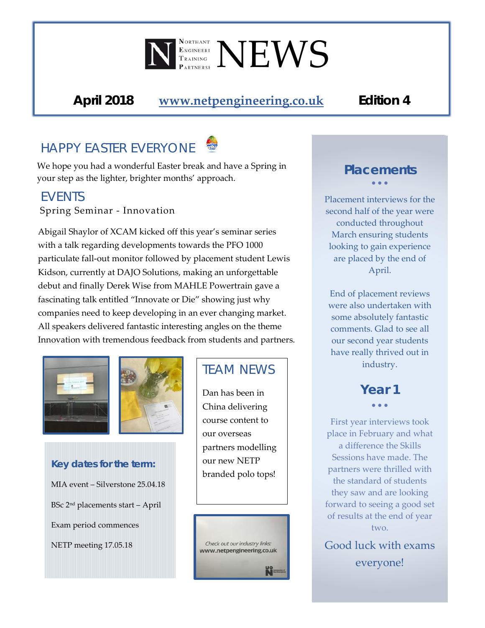# I RAINING NEWS

*April 2018* **[www.netpengineering.co.uk](http://www.netpengineering.co.uk/)** *Edition 4*

## *HAPPY EASTER EVERYONE*

We hope you had a wonderful Easter break and have a Spring in your step as the lighter, brighter months' approach.

#### *EVENTS*

Spring Seminar - Innovation

Abigail Shaylor of XCAM kicked off this year's seminar series with a talk regarding developments towards the PFO 1000 particulate fall-out monitor followed by placement student Lewis Kidson, currently at DAJO Solutions, making an unforgettable debut and finally Derek Wise from MAHLE Powertrain gave a fascinating talk entitled "Innovate or Die" showing just why companies need to keep developing in an ever changing market. All speakers delivered fantastic interesting angles on the theme Innovation with tremendous feedback from students and partners.





## *Key dates for the term:* MIA event – Silverstone 25.04.18 BSc 2nd placements start – April Exam period commences NETP meeting 17.05.18

### *TEAM NEWS*

Dan has been in China delivering course content to our overseas partners modelling our new NETP branded polo tops!



#### *Placements* • • •

Placement interviews for the second half of the year were conducted throughout March ensuring students looking to gain experience are placed by the end of April.

End of placement reviews were also undertaken with some absolutely fantastic comments. Glad to see all our second year students have really thrived out in industry.

#### *Year 1*  • • •

First year interviews took place in February and what a difference the Skills Sessions have made. The partners were thrilled with the standard of students they saw and are looking forward to seeing a good set of results at the end of year two.

Good luck with exams everyone!